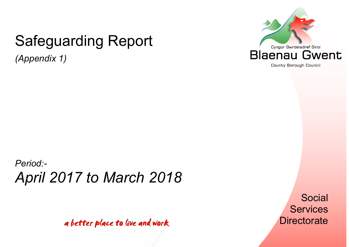# Safeguarding Report

*(Appendix 1)* 



County Borough Council

# *Period:- April 2017 to March 2018*

a better place to live and work

Social **Services Directorate**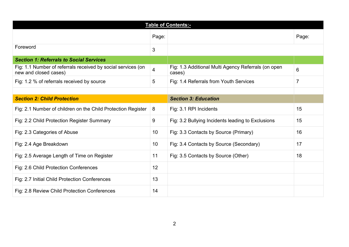|                                                                                       |                 | <b>Table of Contents:-</b>                                    |                |
|---------------------------------------------------------------------------------------|-----------------|---------------------------------------------------------------|----------------|
|                                                                                       | Page:           |                                                               | Page:          |
| Foreword                                                                              | 3               |                                                               |                |
| <b>Section 1: Referrals to Social Services</b>                                        |                 |                                                               |                |
| Fig: 1.1 Number of referrals received by social services (on<br>new and closed cases) | $\overline{4}$  | Fig: 1.3 Additional Multi Agency Referrals (on open<br>cases) | 6              |
| Fig: 1.2 % of referrals received by source                                            | 5               | Fig: 1.4 Referrals from Youth Services                        | $\overline{7}$ |
|                                                                                       |                 |                                                               |                |
| <b>Section 2: Child Protection</b>                                                    |                 | <b>Section 3: Education</b>                                   |                |
| Fig: 2.1 Number of children on the Child Protection Register                          | 8               | Fig: 3.1 RPI Incidents                                        | 15             |
| Fig: 2.2 Child Protection Register Summary                                            | 9               | Fig. 3.2 Bullying Incidents leading to Exclusions             | 15             |
| Fig: 2.3 Categories of Abuse                                                          | 10 <sup>°</sup> | Fig. 3.3 Contacts by Source (Primary)                         | 16             |
| Fig: 2.4 Age Breakdown                                                                | 10 <sup>°</sup> | Fig. 3.4 Contacts by Source (Secondary)                       | 17             |
| Fig: 2.5 Average Length of Time on Register                                           | 11              | Fig: 3.5 Contacts by Source (Other)                           | 18             |
| Fig: 2.6 Child Protection Conferences                                                 | 12              |                                                               |                |
| Fig: 2.7 Initial Child Protection Conferences                                         | 13              |                                                               |                |
| Fig: 2.8 Review Child Protection Conferences                                          | 14              |                                                               |                |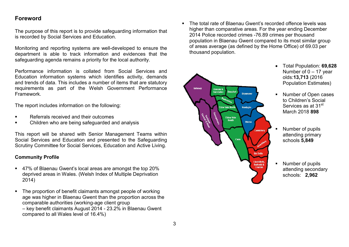# **Foreword**

The purpose of this report is to provide safeguarding information that is recorded by Social Services and Education.

Monitoring and reporting systems are well-developed to ensure the department is able to track information and evidences that the safeguarding agenda remains a priority for the local authority.

Performance information is collated from Social Services and Education information systems which identifies activity, demands and trends of data. This includes a number of items that are statutory requirements as part of the Welsh Government Performance Framework.

The report includes information on the following:

- Referrals received and their outcomes
- Children who are being safeguarded and analysis

This report will be shared with Senior Management Teams within Social Services and Education and presented to the Safeguarding Scrutiny Committee for Social Services, Education and Active Living.

# **Community Profile**

- 47% of Blaenau Gwent's local areas are amongst the top 20% deprived areas in Wales. (Welsh Index of Multiple Deprivation 2014)
- The proportion of benefit claimants amongst people of working age was higher in Blaenau Gwent than the proportion across the comparable authorities (working-age client group – key benefit claimants August 2014 - 23.2% in Blaenau Gwent compared to all Wales level of 16.4%)

 The total rate of Blaenau Gwent's recorded offence levels was higher than comparative areas. For the year ending December 2014 Police recorded crimes -76.89 crimes per thousand population in Blaenau Gwent compared to its most similar group of areas average (as defined by the Home Office) of 69.03 per thousand population.



- Total Population: **69,628**Number of  $0 - 17$  year olds:**13,713** (2016 Population Estimates)
- **Number of Open cases** to Children's Social Services as at 31<sup>st</sup> March 2018 **898**
- Number of pupils attending primary schools **5,849**
- Number of pupils attending secondary schools: **2,962**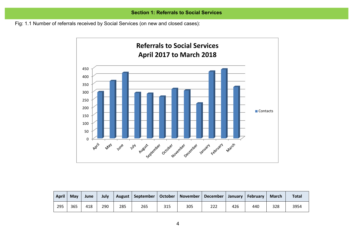Fig: 1.1 Number of referrals received by Social Services (on new and closed cases):



| <b>April</b> | <b>May</b> | June | July |     | August   September   October   November   December |     |     |     |     | January   February | <b>March</b> | <b>Total</b> |
|--------------|------------|------|------|-----|----------------------------------------------------|-----|-----|-----|-----|--------------------|--------------|--------------|
| 295          | 365        | 418  | 290  | 285 | 265                                                | 315 | 305 | 222 | 426 | 440                | 328          | 3954         |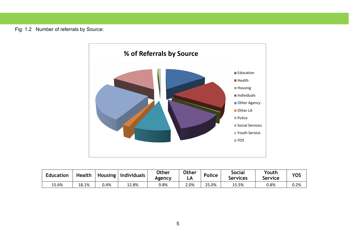Fig: 1.2 Number of referrals by Source:



| <b>Education</b> | Health | <b>Housing</b> | <b>Individuals</b> | <b>Other</b><br>Agency | Other<br>டச | Police         | Social<br>Services | Youth<br>Service | <b>YOS</b> |
|------------------|--------|----------------|--------------------|------------------------|-------------|----------------|--------------------|------------------|------------|
| 15.6%            | 18.1%  | ).4%           | 2.8%،              | 9.8%                   | 2.0%        | $\angle 5.0\%$ | 15.5%              | 0.8%             | $0.2\%$    |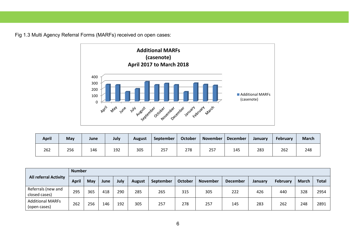Fig 1.3 Multi Agency Referral Forms (MARFs) received on open cases:



| <b>April</b> | May | June | July | <b>August</b> | September | <b>October</b> |     | November   December | <b>January</b> | February | <b>March</b> |
|--------------|-----|------|------|---------------|-----------|----------------|-----|---------------------|----------------|----------|--------------|
| 262          | 256 | 146  | 192  | 305           | 257       | 278            | 257 | 145                 | 283            | 262      | 248          |

| <b>All referral Activity</b>            | <b>Number</b> |     |      |      |               |           |                |                 |                 |         |                 |              |              |
|-----------------------------------------|---------------|-----|------|------|---------------|-----------|----------------|-----------------|-----------------|---------|-----------------|--------------|--------------|
|                                         | <b>April</b>  | May | June | July | <b>August</b> | September | <b>October</b> | <b>November</b> | <b>December</b> | January | <b>February</b> | <b>March</b> | <b>Total</b> |
| Referrals (new and<br>closed cases)     | 295           | 365 | 418  | 290  | 285           | 265       | 315            | 305             | 222             | 426     | 440             | 328          | 2954         |
| <b>Additional MARFs</b><br>(open cases) | 262           | 256 | 146  | 192  | 305           | 257       | 278            | 257             | 145             | 283     | 262             | 248          | 2891         |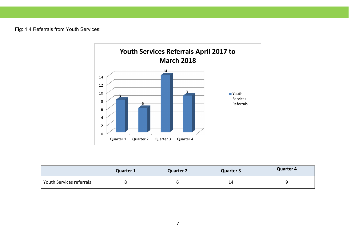Fig: 1.4 Referrals from Youth Services:



|                          | <b>Quarter 1</b> | <b>Quarter 2</b> | Quarter 3 | Quarter 4 |
|--------------------------|------------------|------------------|-----------|-----------|
| Youth Services referrals |                  |                  | 14        |           |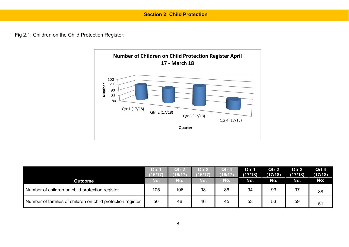Fig 2.1: Children on the Child Protection Register:



|                                                             | Qtr 1<br>(16/17) | Qtr 2<br>16/17 | Otr 3<br>(16/17) | Qtr 4<br>6/17 | Qtr 1<br>(17/18) | Qtr 2<br>(17/18) | Qtr <sub>3</sub><br>(17/18) | Qrt 4<br>(17/18) |
|-------------------------------------------------------------|------------------|----------------|------------------|---------------|------------------|------------------|-----------------------------|------------------|
| <b>Outcome</b>                                              | No.              | No.            | No.              | No.           | No.              | No.              | No.                         | No:              |
| Number of children on child protection register             | 105              | 106            | 98               | 86            | 94               | 93               | 97                          | 88               |
| Number of families of children on child protection register | 50               | 46             | 46               | 45            | 53               | 53               | 59                          | 51               |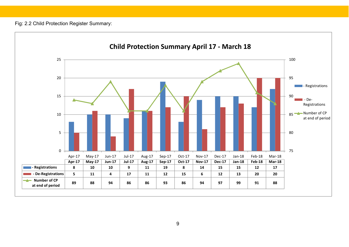# Fig: 2.2 Child Protection Register Summary:

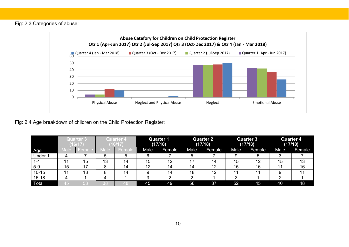Fig: 2.3 Categories of abuse:

![](_page_9_Figure_1.jpeg)

Fig: 2.4 Age breakdown of children on the Child Protection Register:

|              | <b>Quarter 3</b><br>(16/17 |        |       | Quarter 1<br><b>Quarter 4</b><br>(17/18)<br>(16/17 |           | Quarter 2<br>(17/18) |      |        |      | <b>Quarter 3</b><br>(17/18) |      | <b>Quarter 4</b><br>(17/18) |
|--------------|----------------------------|--------|-------|----------------------------------------------------|-----------|----------------------|------|--------|------|-----------------------------|------|-----------------------------|
| Age          | <b>Male</b>                | ⊦emale | Vlale | Female                                             | Male      | Female               | Male | Female | Male | Female                      | Male | Female                      |
| Under 1      |                            |        | 5     |                                                    | 6         |                      | 5    |        | 9    | 5                           |      |                             |
| 1-4          | 11                         | 15     | 13    | 14                                                 | 15        | 12                   | 17   | 14     | 15   | 12                          | 15   | 13                          |
| $5-9$        | 15                         | 17     | 8     | 14                                                 | 12        | 14                   | 14   | 12     | 15   | 16                          | 44   | 16                          |
| $10 - 15$    |                            | 13     | 8     | 14                                                 |           | 14                   | 18   | 12     | 11   | 11                          |      | 11                          |
| $16 - 18$    |                            |        | 4     |                                                    | ◠<br>- 14 | ◠                    | ◠    |        | ◠    |                             | ◠    |                             |
| <b>Total</b> | 45                         | 53     | 38    | 48                                                 | 45        | 49                   | 56   | 37     | 52   | 45                          | 40   | 48                          |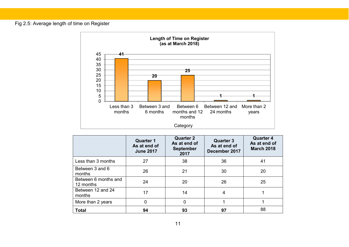#### Fig 2.5: Average length of time on Register

![](_page_10_Figure_1.jpeg)

|                                   | <b>Quarter 1</b><br>As at end of<br><b>June 2017</b> | <b>Quarter 2</b><br>As at end of<br><b>September</b><br>2017 | <b>Quarter 3</b><br>As at end of<br>December 2017 | <b>Quarter 4</b><br>As at end of<br><b>March 2018</b> |
|-----------------------------------|------------------------------------------------------|--------------------------------------------------------------|---------------------------------------------------|-------------------------------------------------------|
| Less than 3 months                | 27                                                   | 38                                                           | 36                                                | 41                                                    |
| Between 3 and 6<br>months         | 26                                                   | 21                                                           | 30                                                | 20                                                    |
| Between 6 months and<br>12 months | 24                                                   | 20                                                           | 26                                                | 25                                                    |
| Between 12 and 24<br>months       | 17                                                   | 14                                                           | 4                                                 |                                                       |
| More than 2 years                 | 0                                                    | 0                                                            |                                                   |                                                       |
| <b>Total</b>                      | 94                                                   | 93                                                           | 97                                                | 88                                                    |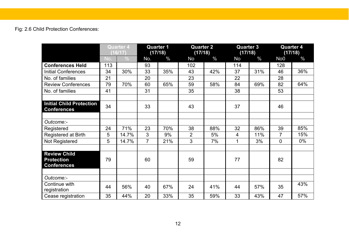# Fig: 2.6 Child Protection Conferences:

|                                                       | <b>Quarter 4</b><br>(16/17) |               | <b>Quarter 1</b><br>(17/18) |               |                | <b>Quarter 2</b><br>(17/18) |     | <b>Quarter 3</b><br>(17/18) | <b>Quarter 4</b><br>(17/18) |      |
|-------------------------------------------------------|-----------------------------|---------------|-----------------------------|---------------|----------------|-----------------------------|-----|-----------------------------|-----------------------------|------|
|                                                       | No.                         | $\frac{0}{0}$ | No.                         | $\frac{0}{0}$ | <b>No</b>      | $\frac{0}{0}$               | No  | $\frac{0}{0}$               | No <sub>0</sub>             | $\%$ |
| <b>Conferences Held</b>                               | 113                         |               | 93                          |               | 102            |                             | 114 |                             | 128                         |      |
| <b>Initial Conferences</b>                            | 34                          | 30%           | 33                          | 35%           | 43             | 42%                         | 37  | 31%                         | 46                          | 36%  |
| No. of families                                       | 21                          |               | 20                          |               | 23             |                             | 22  |                             | 28                          |      |
| <b>Review Conferences</b>                             | 79                          | 70%           | 60                          | 65%           | 59             | 58%                         | 84  | 69%                         | 82                          | 64%  |
| No. of families                                       | 41                          |               | 31                          |               | 35             |                             | 38  |                             | 53                          |      |
|                                                       |                             |               |                             |               |                |                             |     |                             |                             |      |
| <b>Initial Child Protection</b><br><b>Conferences</b> | 34                          |               | 33                          |               | 43             |                             | 37  |                             | 46                          |      |
|                                                       |                             |               |                             |               |                |                             |     |                             |                             |      |
| Outcome:-                                             |                             |               |                             |               |                |                             |     |                             |                             |      |
| Registered                                            | 24                          | 71%           | 23                          | 70%           | 38             | 88%                         | 32  | 86%                         | 39                          | 85%  |
| Registered at Birth                                   | 5                           | 14.7%         | $\mathfrak{S}$              | 9%            | $\overline{2}$ | 5%                          | 4   | 11%                         | $\overline{7}$              | 15%  |
| Not Registered                                        | 5                           | 14.7%         | $\overline{7}$              | 21%           | 3              | 7%                          | 1   | 3%                          | $\mathbf 0$                 | 0%   |
|                                                       |                             |               |                             |               |                |                             |     |                             |                             |      |
| <b>Review Child</b>                                   |                             |               |                             |               |                |                             |     |                             |                             |      |
| <b>Protection</b>                                     | 79                          |               | 60                          |               | 59             |                             | 77  |                             | 82                          |      |
| <b>Conferences</b>                                    |                             |               |                             |               |                |                             |     |                             |                             |      |
|                                                       |                             |               |                             |               |                |                             |     |                             |                             |      |
| Outcome:-                                             |                             |               |                             |               |                |                             |     |                             |                             |      |
| Continue with<br>registration                         | 44                          | 56%           | 40                          | 67%           | 24             | 41%                         | 44  | 57%                         | 35                          | 43%  |
| Cease registration                                    | 35                          | 44%           | 20                          | 33%           | 35             | 59%                         | 33  | 43%                         | 47                          | 57%  |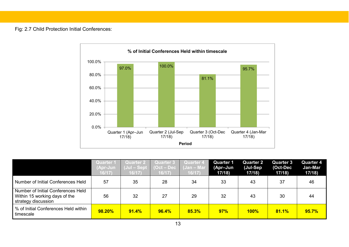Fig: 2.7 Child Protection Initial Conferences:

![](_page_12_Figure_1.jpeg)

|                                                                                            | <b>Quarter 1</b><br>(Apr-Jun<br>16/17) | Quarter 2<br>(Jul - Sept<br>16/17) | <b>Quarter 3</b><br>(Oct – Dec<br>16/17 | <b>Quarter 4</b><br>(Jan - Mar<br>16/17) | <b>Quarter 1</b><br>(Apr-Jun<br>17/18 | <b>Quarter 2</b><br>(Jul-Sep<br>17/18 | <b>Quarter 3</b><br>(Oct-Dec<br>17/18 | <b>Quarter 4</b><br>Jan-Mar<br>17/18 |
|--------------------------------------------------------------------------------------------|----------------------------------------|------------------------------------|-----------------------------------------|------------------------------------------|---------------------------------------|---------------------------------------|---------------------------------------|--------------------------------------|
| Number of Initial Conferences Held                                                         | 57                                     | 35                                 | 28                                      | 34                                       | 33                                    | 43                                    | 37                                    | 46                                   |
| Number of Initial Conferences Held<br>Within 15 working days of the<br>strategy discussion | 56                                     | 32                                 | 27                                      | 29                                       | 32                                    | 43                                    | 30                                    | 44                                   |
| % of Initial Conferences Held within<br>timescale                                          | 98.20%                                 | 91.4%                              | 96.4%                                   | 85.3%                                    | 97%                                   | $100\%$                               | 81.1%                                 | 95.7%                                |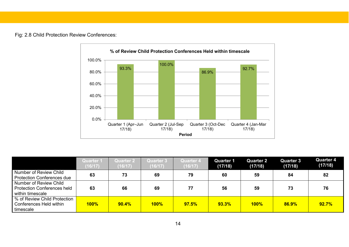#### Fig: 2.8 Child Protection Review Conferences:

![](_page_13_Figure_1.jpeg)

|                                                                                  | <b>Quarter 1</b><br>(16/17) | <b>Quarter 2</b><br>16/17 | <b>Quarter 3</b><br>(16/17) | <b>Quarter 4</b><br>(16/17) | <b>Quarter 1</b><br>(17/18) | <b>Quarter 2</b><br>(17/18) | <b>Quarter 3</b><br>(17/18) | <b>Quarter 4</b><br>(17/18) |
|----------------------------------------------------------------------------------|-----------------------------|---------------------------|-----------------------------|-----------------------------|-----------------------------|-----------------------------|-----------------------------|-----------------------------|
| Number of Review Child<br><b>Protection Conferences due</b>                      | 63                          | 73                        | 69                          | 79                          | 60                          | 59                          | 84                          | 82                          |
| Number of Review Child<br><b>Protection Conferences held</b><br>within timescale | 63                          | 66                        | 69                          | 77                          | 56                          | 59                          | 73                          | 76                          |
| % of Review Child Protection<br>Conferences Held within<br>timescale             | $100\%$                     | 90.4%                     | 100%                        | 97.5%                       | 93.3%                       | $100\%$                     | 86.9%                       | 92.7%                       |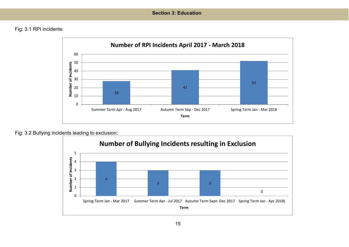# **Section 3: Education**

Fig: 3.1 RPI incidents:

![](_page_14_Figure_2.jpeg)

Fig: 3.2 Bullying incidents leading to exclusion:

![](_page_14_Figure_4.jpeg)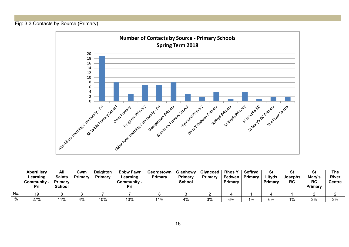# Fig: 3.3 Contacts by Source (Primary)

![](_page_15_Figure_1.jpeg)

|     | <b>Abertillery</b><br>Learning<br>Community -<br>Pri | All<br><b>Saints</b><br><b>Primary</b><br><b>School</b> | Cwm<br>Primary | Deighton<br>Primary | <b>Ebbw Fawr</b><br>Learning<br>Communitv -<br>Pri | Georgetown<br>Primary | Glanhowy<br>Primary<br><b>School</b> | <b>Glyncoed</b><br>Primary | Rhos \<br>Fedwen<br>Primary | Soffryd<br>Primary | St<br><b>Illtyds</b><br>Primary | St<br>Josephs<br><b>RC</b> | ่งเ<br>Mary's<br><b>RC</b><br>Primary | <b>The</b><br><b>River</b><br><b>Centre</b> |
|-----|------------------------------------------------------|---------------------------------------------------------|----------------|---------------------|----------------------------------------------------|-----------------------|--------------------------------------|----------------------------|-----------------------------|--------------------|---------------------------------|----------------------------|---------------------------------------|---------------------------------------------|
| No. |                                                      |                                                         |                |                     |                                                    |                       |                                      |                            |                             |                    |                                 |                            |                                       |                                             |
| 0/2 | 27%                                                  | 110 <sub>6</sub>                                        | 4%             | 10%                 | 10%                                                | 11%                   | 4%                                   | 3%                         | 6%                          | $1\%$              | 6%                              | 1%                         | 3%                                    | 3%                                          |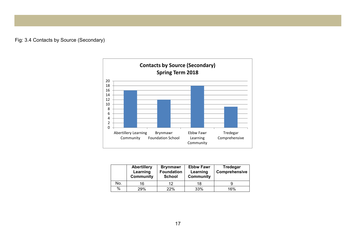# Fig: 3.4 Contacts by Source (Secondary)

![](_page_16_Figure_1.jpeg)

|     | <b>Abertillery</b><br>Learning<br><b>Community</b> | <b>Brynmawr</b><br><b>Foundation</b><br><b>School</b> | <b>Ebbw Fawr</b><br>Learning<br><b>Community</b> | Tredegar<br>Comprehensive |
|-----|----------------------------------------------------|-------------------------------------------------------|--------------------------------------------------|---------------------------|
| No. | 16                                                 | 12                                                    | 18                                               |                           |
| %   | 29%                                                | 22%                                                   | 33%                                              | 16%                       |